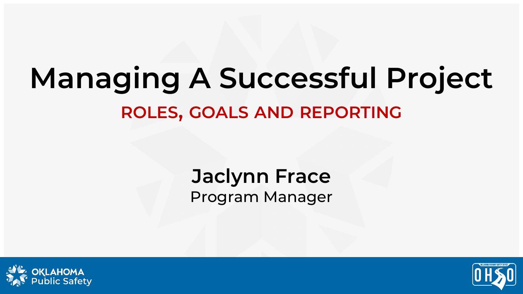### **Managing A Successful Project ROLES, GOALS AND REPORTING**

### **Jaclynn Frace** Program Manager



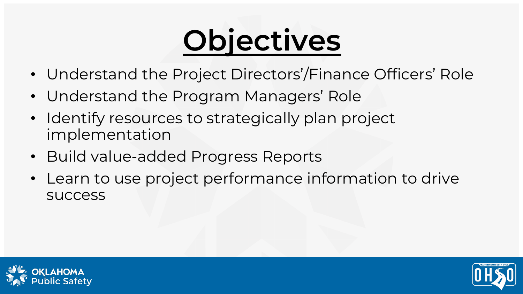# **Objectives**

- Understand the Project Directors'/Finance Officers' Role
- Understand the Program Managers' Role
- Identify resources to strategically plan project implementation
- Build value-added Progress Reports
- Learn to use project performance information to drive success



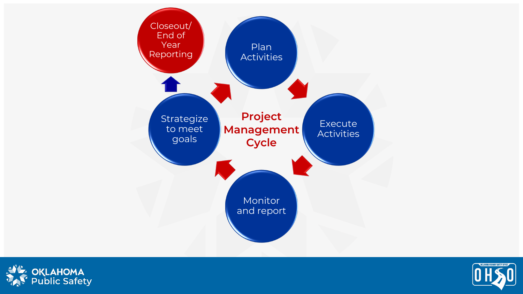



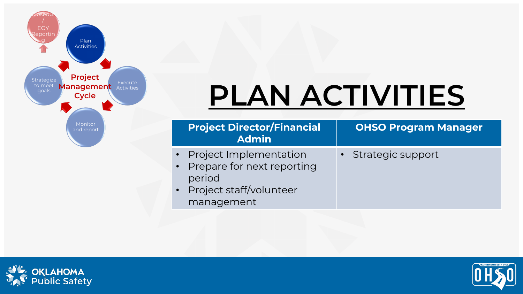

### **PLAN ACTIVITIES**

|                                                                                                                          | <b>Project Director/Financial</b><br><b>Admin</b> | <b>OHSO Program Manager</b> |
|--------------------------------------------------------------------------------------------------------------------------|---------------------------------------------------|-----------------------------|
| • Project Implementation<br>• Prepare for next reporting<br>period<br>Project staff/volunteer<br>$\bullet$<br>management |                                                   | • Strategic support         |



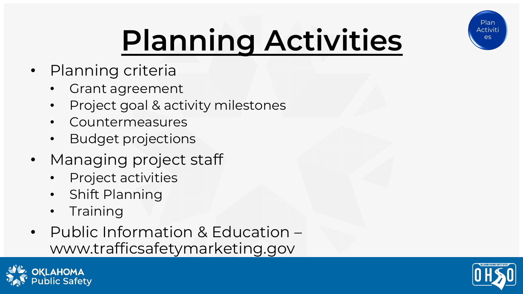

# **Planning Activities**

- Planning criteria
	- Grant agreement
	- Project goal & activity milestones
	- **Countermeasures**
	- Budget projections
- Managing project staff
	- Project activities
	- Shift Planning
	- **Training**
- Public Information & Education www.trafficsafetymarketing.gov



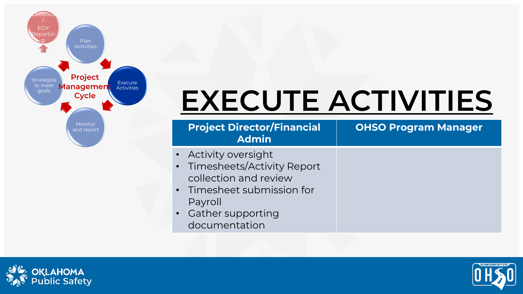

### **EXECUTE ACTIVITIES**

| <b>Project Director/Financial</b><br><b>Admin</b> | <b>OHSO Program Manager</b> |
|---------------------------------------------------|-----------------------------|
| • Activity oversight                              |                             |
| • Timesheets/Activity Report                      |                             |
| collection and review                             |                             |
| • Timesheet submission for                        |                             |
| Payroll                                           |                             |
| • Gather supporting                               |                             |
| documentation                                     |                             |



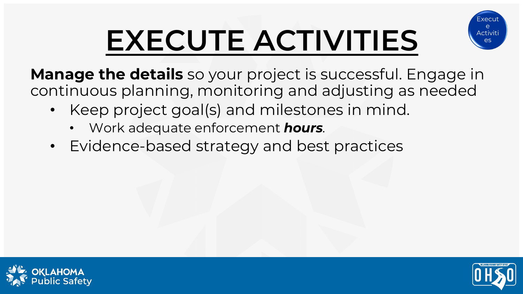# **EXECUTE ACTIVITIES**



**Manage the details** so your project is successful. Engage in continuous planning, monitoring and adjusting as needed

- Keep project goal(s) and milestones in mind.
	- Work adequate enforcement *hours.*
- Evidence-based strategy and best practices



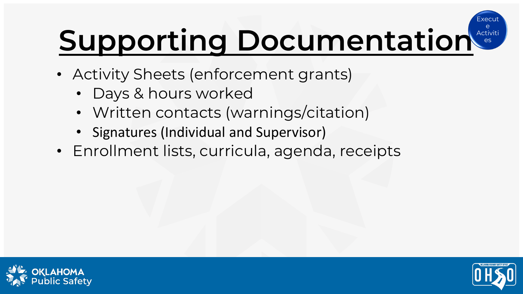#### **Supporting Documentation** Execu Activiti es

- Activity Sheets (enforcement grants)
	- Days & hours worked
	- Written contacts (warnings/citation)
	- Signatures (Individual and Supervisor)
- Enrollment lists, curricula, agenda, receipts



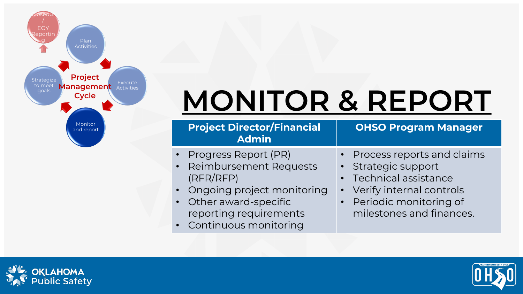

### **MONITOR & REPORT**

| <b>Project Director/Financial</b><br><b>Admin</b>                                        | <b>OHSO Program Manager</b>                                                        |
|------------------------------------------------------------------------------------------|------------------------------------------------------------------------------------|
| Progress Report (PR)<br><b>Reimbursement Requests</b><br>$\sqrt{\bullet}$ )<br>(RFR/RFP) | • Process reports and claims<br>• Strategic support<br>• Technical assistance      |
| • Ongoing project monitoring<br>• Other award-specific<br>reporting requirements         | • Verify internal controls<br>• Periodic monitoring of<br>milestones and finances. |
|                                                                                          |                                                                                    |

Continuous monitoring

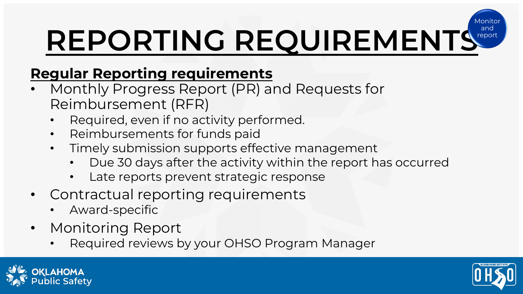#### REPORTING REQUIREMENTS Monitc report

#### **Regular Reporting requirements**

- Monthly Progress Report (PR) and Requests for Reimbursement (RFR)
	- Required, even if no activity performed.
	- Reimbursements for funds paid
	- Timely submission supports effective management
		- Due 30 days after the activity within the report has occurred
		- Late reports prevent strategic response
- Contractual reporting requirements
	- Award-specific
- Monitoring Report
	- Required reviews by your OHSO Program Manager



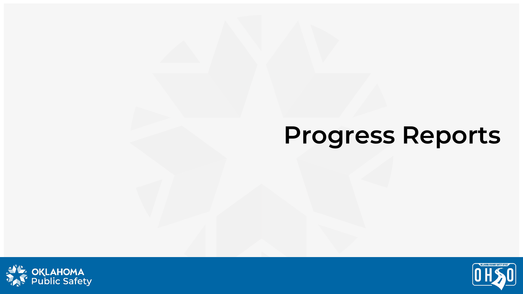### **Progress Reports**



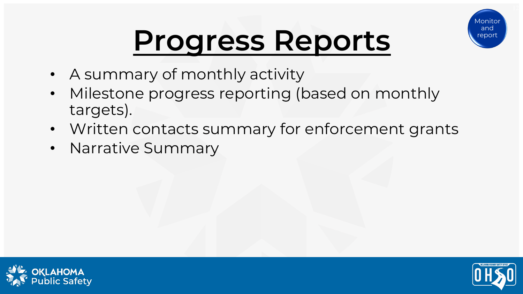

### **Progress Reports**

- A summary of monthly activity
- Milestone progress reporting (based on monthly targets).
- Written contacts summary for enforcement grants
- Narrative Summary



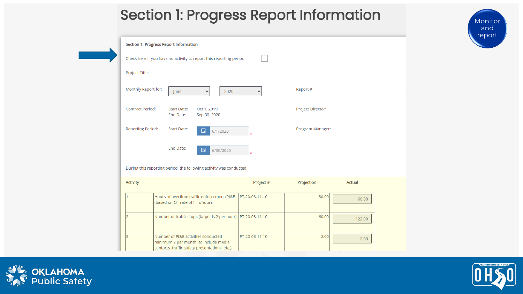#### **Section 1: Progress Report Information**

Monitor and report

| <b>Section 1: Progress Report Information</b> |                                                                                                                                  |                |                   |               |
|-----------------------------------------------|----------------------------------------------------------------------------------------------------------------------------------|----------------|-------------------|---------------|
|                                               | Check here if you have no activity to report this reporting period                                                               |                |                   |               |
| Project Title:                                |                                                                                                                                  |                |                   |               |
| Monthly Report for:                           | 2020<br>lune<br>٧                                                                                                                | v              | Report #:         |               |
| <b>Contract Period:</b>                       | <b>Start Date:</b><br>Oct 1, 2019<br>End Date:<br>Sep 30, 2020                                                                   |                | Project Director: |               |
| <b>Reporting Period:</b>                      | <b>Start Date:</b><br>自<br>6/1/2020                                                                                              |                | Program Manager:  |               |
|                                               | End Date:<br>自<br>6/30/2020                                                                                                      |                |                   |               |
|                                               | During this reporting period, the following activity was conducted:                                                              |                |                   |               |
| <b>Activity</b>                               |                                                                                                                                  | Project #      | Projection        | <b>Actual</b> |
| 1                                             | Hours of overtime traffic enforcement/PI&E<br>(based on OT rate of ! i/hour).                                                    | PT-20-03-11-10 | 30.00             | 66.00         |
| $\overline{2}$                                | Number of traffic stops (target is 2 per hour). PT-20-03-11-10                                                                   |                | 60.00             | 122.00        |
| $\overline{\mathbf{3}}$                       | Number of PI&E activities conducted -<br>minimum 2 per month (to include media<br>contacts, traffic safety presentations, etc.). | PT-20-03-11-10 | 2.00              | 2.00          |



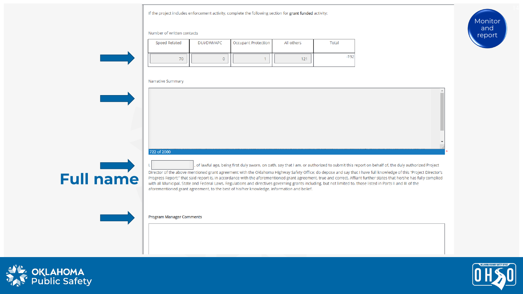

Number of written contacts

| Speed Related | DUI/DWI/APC | Occupant Protection | All others   | Total |
|---------------|-------------|---------------------|--------------|-------|
| 70            |             |                     | $\mathbf{A}$ | 192   |

#### Narrative Summary



#### **Full name**

, of lawful age, being first duly sworn, on oath, say that I am, or authorized to submit this report on behalf of, the duly authorized Project

Director of the above mentioned grant agreement with the Oklahoma Highway Safety Office; do depose and say that I have full knowledge of this "Project Director's Progress Report;" that said report is, in accordance with the aforementioned grant agreement, true and correct. Affiant further states that he/she has fully complied with all Municipal, State and Federal Laws, Regulations and directives governing grants including, but not limited to, those listed in Parts II and III of the aforementioned grant agreement, to the best of his/her knowledge, information and belief.

**Program Manager Comments** 





**Monitor** and report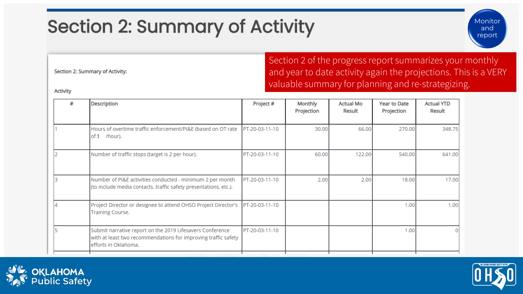### **Section 2: Summary of Activity**

Section 2: Summary of Activity:

Section 2 of the progress report summarizes your monthly and year to date activity again the projections. This is a VERY valuable summary for planning and re-strategizing.

**Activity** 

| # | <b>Description</b>                                                                                                                                  | Project #      | <b>Monthly</b><br>Projection | <b>Actual Mo</b><br>Result | <b>Year to Date</b><br>Projection | <b>Actual YTD</b><br>Result |
|---|-----------------------------------------------------------------------------------------------------------------------------------------------------|----------------|------------------------------|----------------------------|-----------------------------------|-----------------------------|
|   | Hours of overtime traffic enforcement/PI&E (based on OT rate<br>of \$<br>/hour).                                                                    | PT-20-03-11-10 | 30.00                        | 66.00                      | 270.00                            | 348.75                      |
|   | Number of traffic stops (target is 2 per hour).                                                                                                     | PT-20-03-11-10 | 60.00                        | 122.00                     | 540.00                            | 641.00                      |
|   | Number of PI&E activities conducted - minimum 2 per month<br>(to include media contacts, traffic safety presentations, etc.).                       | PT-20-03-11-10 | 2.00                         | 2.00                       | 18.00                             | 17.00                       |
|   | Project Director or designee to attend OHSO Project Director's<br>Training Course.                                                                  | PT-20-03-11-10 |                              |                            | 1.00                              | 1.00                        |
|   | Submit narrative report on the 2019 Lifesavers Conference<br>with at least two recommendations for improving traffic safety<br>efforts in Oklahoma. | PT-20-03-11-10 |                              |                            | 1.00                              |                             |





Monitor and report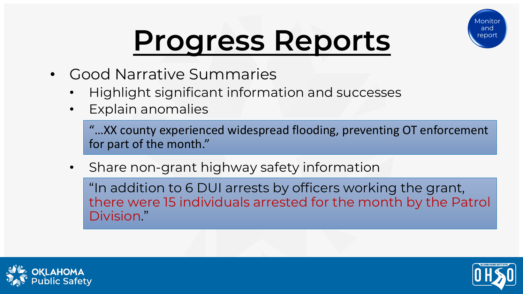

### **Progress Reports**

- Good Narrative Summaries
	- Highlight significant information and successes
	- Explain anomalies

"…XX county experienced widespread flooding, preventing OT enforcement for part of the month."

Share non-grant highway safety information

"In addition to 6 DUI arrests by officers working the grant, there were 15 individuals arrested for the month by the Patrol Division."



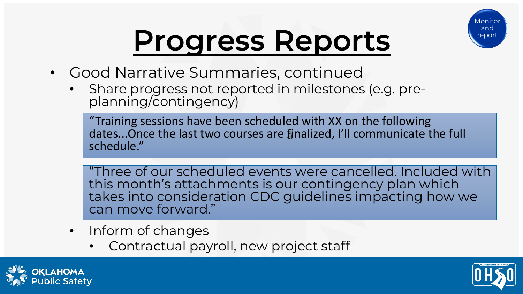

### **Progress Reports**

- Good Narrative Summaries, continued
	- Share progress not reported in milestones (e.g. pre-<br>planning/contingency)

a dates...Once the last two courses are finalized, I'll communicate the full "Training sessions have been scheduled with XX on the following schedule."

"Three of our scheduled events were cancelled. Included with this month's attachments is our contingency plan which takes into consideration CDC guidelines impacting how we can move forward."

- Inform of changes
	- Contractual payroll, new project staff



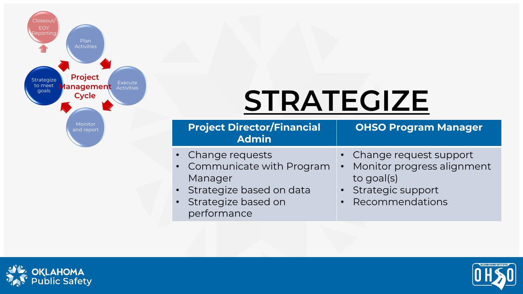

### **STRATEGIZE**

| <b>Project Director/Financial</b><br><b>Admin</b>                  | <b>OHSO Program Manager</b>                                            |
|--------------------------------------------------------------------|------------------------------------------------------------------------|
| • Change requests<br>• Communicate with Program<br>Manager         | • Change request support<br>• Monitor progress alignment<br>to goal(s) |
| · Strategize based on data<br>· Strategize based on<br>performance | · Strategic support<br>• Recommendations                               |



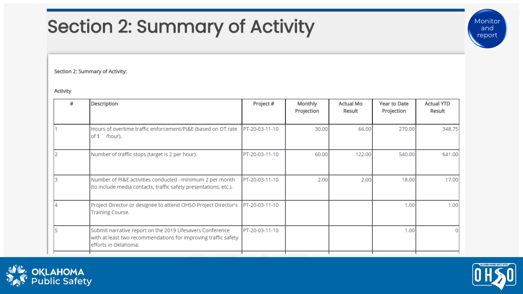### **Section 2: Summary of Activity**

Section 2: Summary of Activity:

**Activity** 

| # | <b>Description</b>                                                                                                                                  | Project #      | Monthly<br>Projection | <b>Actual Mo</b><br>Result | <b>Year to Date</b><br>Projection | <b>Actual YTD</b><br>Result |
|---|-----------------------------------------------------------------------------------------------------------------------------------------------------|----------------|-----------------------|----------------------------|-----------------------------------|-----------------------------|
|   | Hours of overtime traffic enforcement/PI&E (based on OT rate<br>/hour).<br>lof \$                                                                   | PT-20-03-11-10 | 30.00                 | 66.00                      | 270.00                            | 348.75                      |
|   | Number of traffic stops (target is 2 per hour).                                                                                                     | PT-20-03-11-10 | 60.00                 | 122.00                     | 540.00                            | 641.00                      |
|   | Number of PI&E activities conducted - minimum 2 per month<br>(to include media contacts, traffic safety presentations, etc.).                       | PT-20-03-11-10 | 2.00                  | 2.00                       | 18.00                             | 17.00                       |
|   | Project Director or designee to attend OHSO Project Director's<br>Training Course.                                                                  | PT-20-03-11-10 |                       |                            | 1.00                              | 1.00                        |
|   | Submit narrative report on the 2019 Lifesavers Conference<br>with at least two recommendations for improving traffic safety<br>efforts in Oklahoma. | PT-20-03-11-10 |                       |                            | 1.00                              |                             |





Monitor and report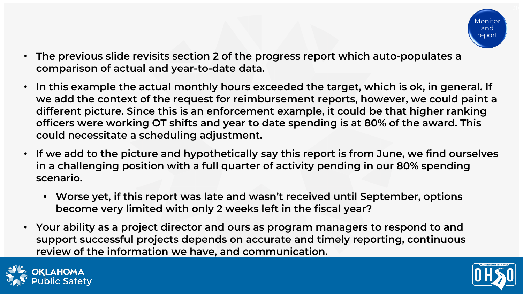

- **The previous slide revisits section 2 of the progress report which auto-populates a comparison of actual and year-to-date data.**
- **In this example the actual monthly hours exceeded the target, which is ok, in general. If we add the context of the request for reimbursement reports, however, we could paint a different picture. Since this is an enforcement example, it could be that higher ranking officers were working OT shifts and year to date spending is at 80% of the award. This could necessitate a scheduling adjustment.**
- **If we add to the picture and hypothetically say this report is from June, we find ourselves in a challenging position with a full quarter of activity pending in our 80% spending scenario.**
	- **Worse yet, if this report was late and wasn't received until September, options become very limited with only 2 weeks left in the fiscal year?**
- **Your ability as a project director and ours as program managers to respond to and support successful projects depends on accurate and timely reporting, continuous review of the information we have, and communication.**



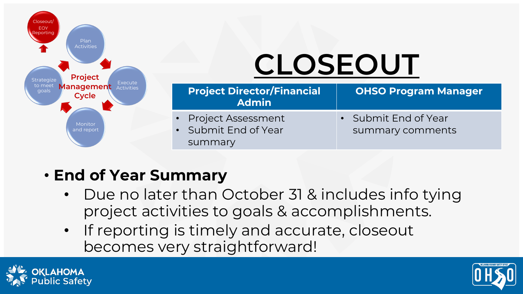

## **CLOSEOUT**

| <b>Project Director/Financial</b><br><b>Admin</b> | <b>OHSO Program Manager</b> |
|---------------------------------------------------|-----------------------------|
| • Project Assessment                              | • Submit End of Year        |
| • Submit End of Year                              | summary comments            |
| summary                                           |                             |

- **End of Year Summary**
	- Due no later than October 31 & includes info tying project activities to goals & accomplishments.
	- If reporting is timely and accurate, closeout becomes very straightforward!



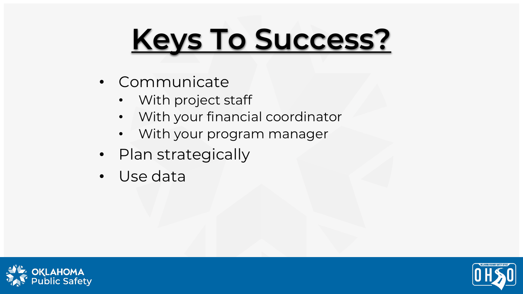# **Keys To Success?**

- Communicate
	- With project staff
	- With your financial coordinator
	- With your program manager
- Plan strategically
- Use data



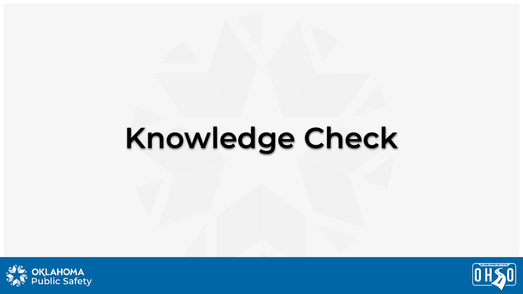### **Knowledge Check**



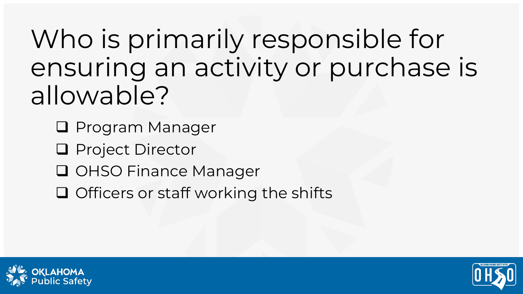Who is primarily responsible for ensuring an activity or purchase is allowable?

- **Q** Program Manager
- **Q** Project Director
- **Q OHSO Finance Manager**
- $\Box$  Officers or staff working the shifts



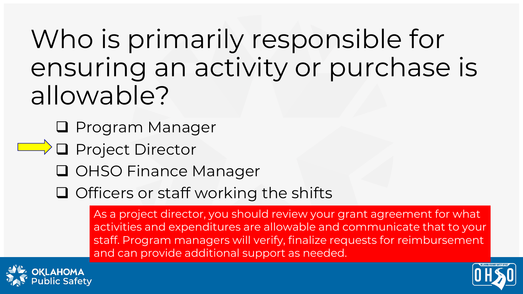Who is primarily responsible for ensuring an activity or purchase is allowable?

**Q** Program Manager

- $\Box$  Project Director
	- **Q OHSO Finance Manager**
	- $\Box$  Officers or staff working the shifts

As a project director, you should review your grant agreement for what activities and expenditures are allowable and communicate that to your staff. Program managers will verify, finalize requests for reimbursement and can provide additional support as needed.



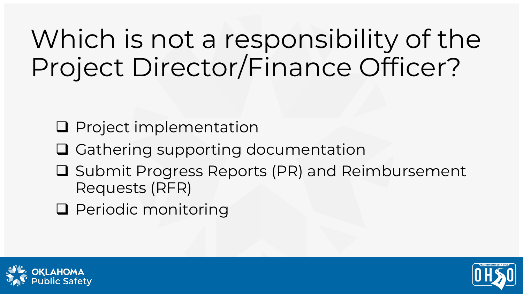### Which is not a responsibility of the Project Director/Finance Officer?

- $\square$  Project implementation
- **□ Gathering supporting documentation**
- **□ Submit Progress Reports (PR) and Reimbursement** Requests (RFR)
- **Q** Periodic monitoring



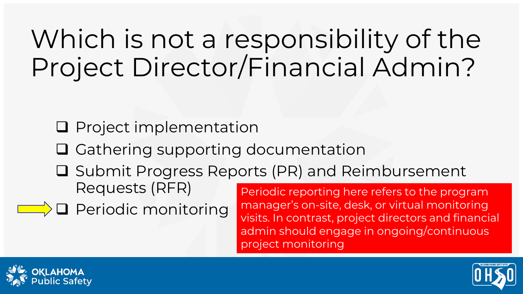### Which is not a responsibility of the Project Director/Financial Admin?

- $\square$  Project implementation
- □ Gathering supporting documentation
- **□ Submit Progress Reports (PR) and Reimbursement** Requests (RFR)
- $\Box$  $\Box$  Periodic monitoring

Periodic reporting here refers to the program manager's on-site, desk, or virtual monitoring visits. In contrast, project directors and financial admin should engage in ongoing/continuous project monitoring



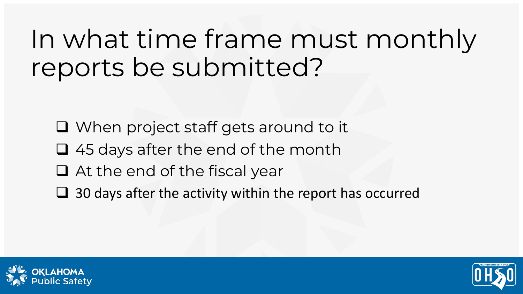### In what time frame must monthly reports be submitted?

- When project staff gets around to it
- $\Box$  45 days after the end of the month
- At the end of the fiscal year
- $\Box$  30 days after the activity within the report has occurred



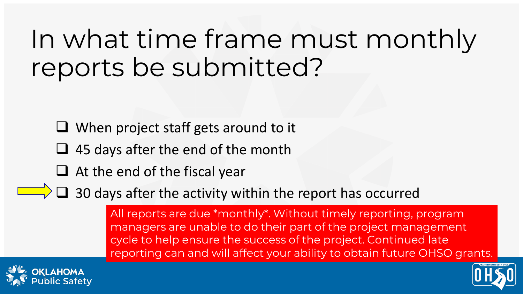### In what time frame must monthly reports be submitted?

 $\Box$  When project staff gets around to it

- $\Box$  45 days after the end of the month
- $\Box$  At the end of the fiscal year

 $\Box$  $\Box$  $\Box$  30 days after the activity within the report has occurred

All reports are due \*monthly\*. Without timely reporting, program managers are unable to do their part of the project management cycle to help ensure the success of the project. Continued late reporting can and will affect your ability to obtain future OHSO grants.



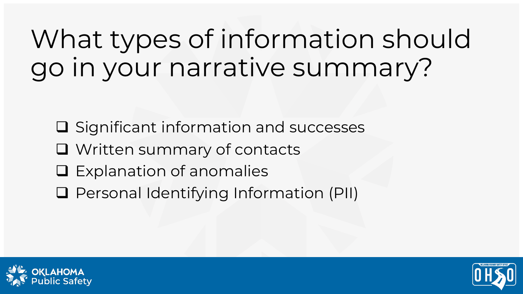### What types of information should go in your narrative summary?

- $\square$  Significant information and successes
- Written summary of contacts
- $\square$  Explanation of anomalies
- □ Personal Identifying Information (PII)



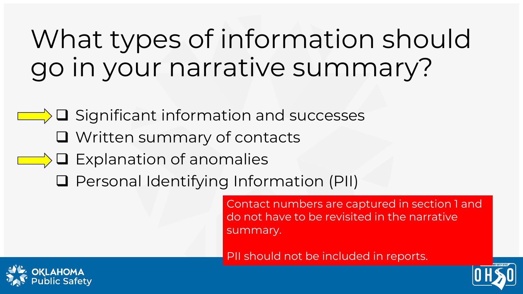### What types of information should go in your narrative summary?

 $\Box$   $\Box$  Significant information and successes

- **Q** Written summary of contacts
- $\Box$  $\Box$  $\Box$  Explanation of anomalies
	- □ Personal Identifying Information (PII)

Contact numbers are captured in section 1 and do not have to be revisited in the narrative summary.

PII should not be included in reports.



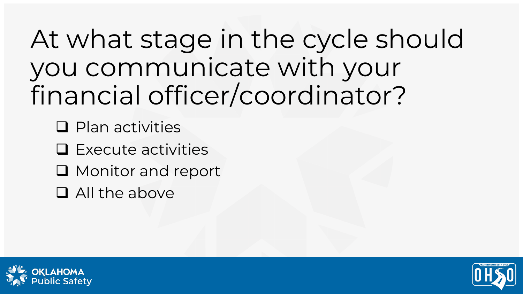At what stage in the cycle should you communicate with your financial officer/coordinator?

 $\Box$  Plan activities

 $\square$  Execute activities

**Q** Monitor and report

All the above



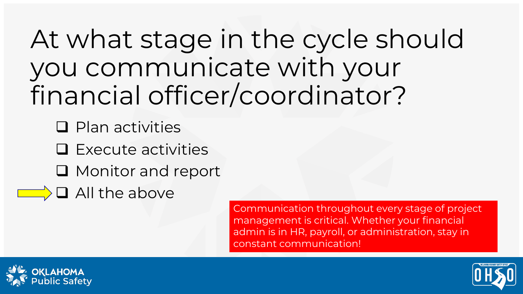At what stage in the cycle should you communicate with your financial officer/coordinator?

 $\Box$  Plan activities

 $\square$  Execute activities

 $\Box$  Monitor and report

 $\Box$   $\Box$  All the above

Communication throughout every stage of project management is critical. Whether your financial admin is in HR, payroll, or administration, stay in constant communication!



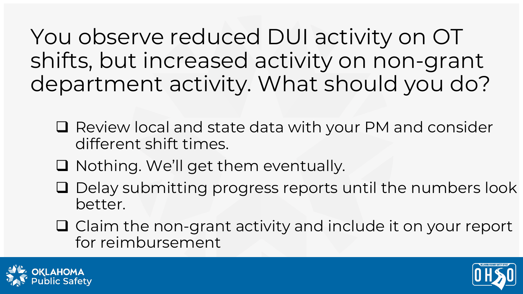You observe reduced DUI activity on OT shifts, but increased activity on non-grant department activity. What should you do?

- Review local and state data with your PM and consider different shift times.
- $\Box$  Nothing. We'll get them eventually.
- $\square$  Delay submitting progress reports until the numbers look better.
- $\Box$  Claim the non-grant activity and include it on your report for reimbursement



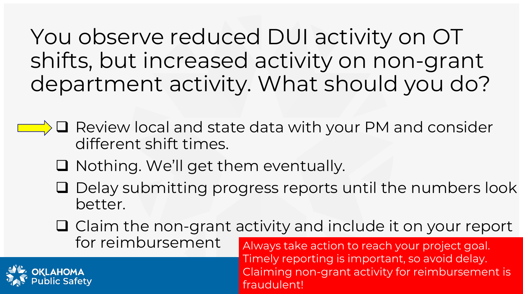You observe reduced DUI activity on OT shifts, but increased activity on non-grant department activity. What should you do?

- $\Box$   $\Box$  Review local and state data with your PM and consider different shift times.
	- Nothing. We'll get them eventually.
	- $\square$  Delay submitting progress reports until the numbers look better.
	- $\Box$  Claim the non-grant activity and include it on your report for reimbursement Always take action to reach your project goal.

Timely reporting is important, so avoid delay. Claiming non-grant activity for reimbursement is fraudulent!